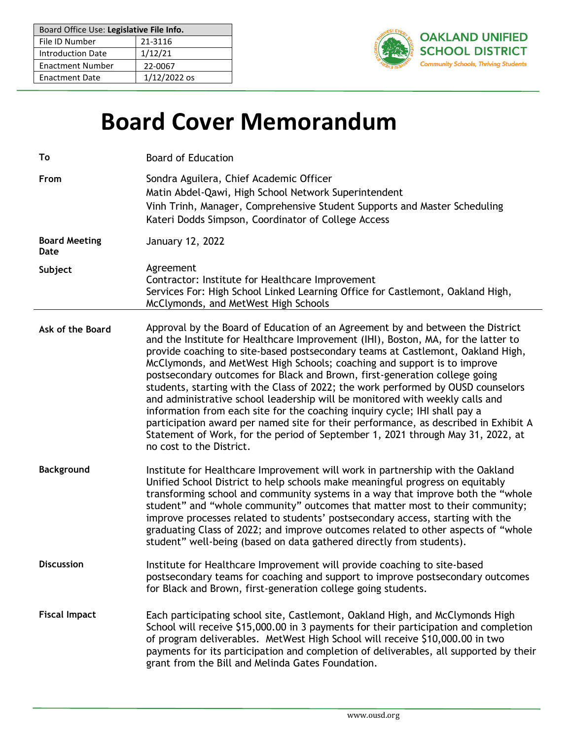| Board Office Use: Legislative File Info. |                |
|------------------------------------------|----------------|
| File ID Number                           | 21-3116        |
| <b>Introduction Date</b>                 | 1/12/21        |
| <b>Enactment Number</b>                  | 22-0067        |
| <b>Enactment Date</b>                    | $1/12/2022$ os |



# **Board Cover Memorandum**

| To                           | <b>Board of Education</b>                                                                                                                                                                                                                                                                                                                                                                                                                                                                                                                                                                                                                                                                                                                                                                                                                                                |
|------------------------------|--------------------------------------------------------------------------------------------------------------------------------------------------------------------------------------------------------------------------------------------------------------------------------------------------------------------------------------------------------------------------------------------------------------------------------------------------------------------------------------------------------------------------------------------------------------------------------------------------------------------------------------------------------------------------------------------------------------------------------------------------------------------------------------------------------------------------------------------------------------------------|
| From                         | Sondra Aguilera, Chief Academic Officer<br>Matin Abdel-Qawi, High School Network Superintendent<br>Vinh Trinh, Manager, Comprehensive Student Supports and Master Scheduling<br>Kateri Dodds Simpson, Coordinator of College Access                                                                                                                                                                                                                                                                                                                                                                                                                                                                                                                                                                                                                                      |
| <b>Board Meeting</b><br>Date | January 12, 2022                                                                                                                                                                                                                                                                                                                                                                                                                                                                                                                                                                                                                                                                                                                                                                                                                                                         |
| Subject                      | Agreement<br>Contractor: Institute for Healthcare Improvement<br>Services For: High School Linked Learning Office for Castlemont, Oakland High,<br>McClymonds, and MetWest High Schools                                                                                                                                                                                                                                                                                                                                                                                                                                                                                                                                                                                                                                                                                  |
| Ask of the Board             | Approval by the Board of Education of an Agreement by and between the District<br>and the Institute for Healthcare Improvement (IHI), Boston, MA, for the latter to<br>provide coaching to site-based postsecondary teams at Castlemont, Oakland High,<br>McClymonds, and MetWest High Schools; coaching and support is to improve<br>postsecondary outcomes for Black and Brown, first-generation college going<br>students, starting with the Class of 2022; the work performed by OUSD counselors<br>and administrative school leadership will be monitored with weekly calls and<br>information from each site for the coaching inquiry cycle; IHI shall pay a<br>participation award per named site for their performance, as described in Exhibit A<br>Statement of Work, for the period of September 1, 2021 through May 31, 2022, at<br>no cost to the District. |
| <b>Background</b>            | Institute for Healthcare Improvement will work in partnership with the Oakland<br>Unified School District to help schools make meaningful progress on equitably<br>transforming school and community systems in a way that improve both the "whole<br>student" and "whole community" outcomes that matter most to their community;<br>improve processes related to students' postsecondary access, starting with the<br>graduating Class of 2022; and improve outcomes related to other aspects of "whole<br>student" well-being (based on data gathered directly from students).                                                                                                                                                                                                                                                                                        |
| <b>Discussion</b>            | Institute for Healthcare Improvement will provide coaching to site-based<br>postsecondary teams for coaching and support to improve postsecondary outcomes<br>for Black and Brown, first-generation college going students.                                                                                                                                                                                                                                                                                                                                                                                                                                                                                                                                                                                                                                              |
| <b>Fiscal Impact</b>         | Each participating school site, Castlemont, Oakland High, and McClymonds High<br>School will receive \$15,000.00 in 3 payments for their participation and completion<br>of program deliverables. MetWest High School will receive \$10,000.00 in two<br>payments for its participation and completion of deliverables, all supported by their<br>grant from the Bill and Melinda Gates Foundation.                                                                                                                                                                                                                                                                                                                                                                                                                                                                      |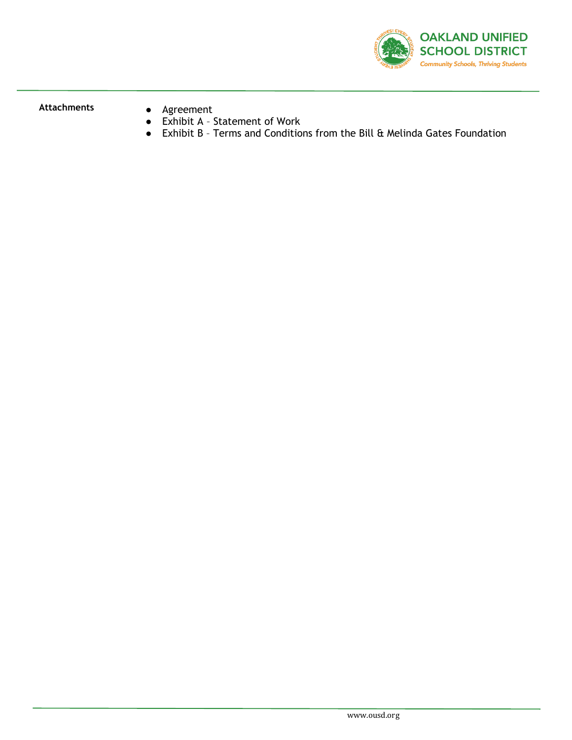

- **Attachments** Agreement
	- Exhibit A Statement of Work
	- Exhibit B Terms and Conditions from the Bill & Melinda Gates Foundation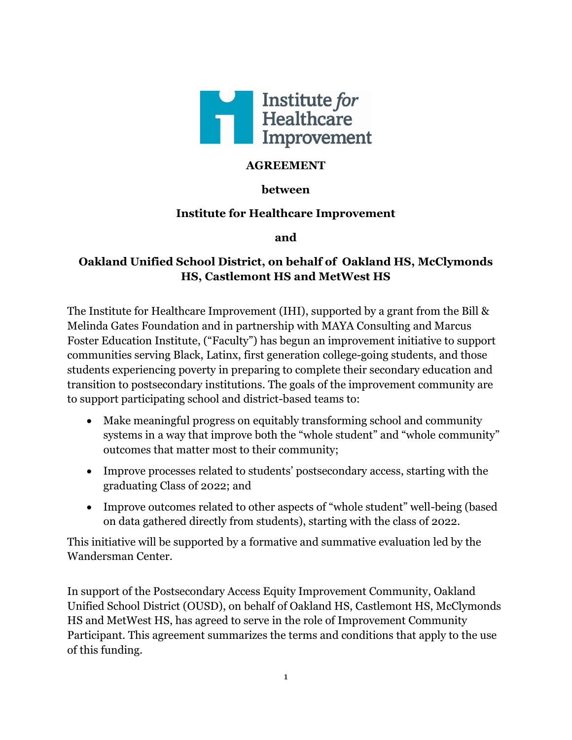

## **AGREEMENT**

## **between**

## **Institute for Healthcare Improvement**

**and** 

## **Oakland Unified School District, on behalf of Oakland HS, McClymonds HS, Castlemont HS and MetWest HS**

The Institute for Healthcare Improvement (IHI), supported by a grant from the Bill & Melinda Gates Foundation and in partnership with MAYA Consulting and Marcus Foster Education Institute, ("Faculty") has begun an improvement initiative to support communities serving Black, Latinx, first generation college-going students, and those students experiencing poverty in preparing to complete their secondary education and transition to postsecondary institutions. The goals of the improvement community are to support participating school and district-based teams to:

- Make meaningful progress on equitably transforming school and community systems in a way that improve both the "whole student" and "whole community" outcomes that matter most to their community;
- Improve processes related to students' postsecondary access, starting with the graduating Class of 2022; and
- Improve outcomes related to other aspects of "whole student" well-being (based on data gathered directly from students), starting with the class of 2022.

This initiative will be supported by a formative and summative evaluation led by the Wandersman Center.

In support of the Postsecondary Access Equity Improvement Community, Oakland Unified School District (OUSD), on behalf of Oakland HS, Castlemont HS, McClymonds HS and MetWest HS, has agreed to serve in the role of Improvement Community Participant. This agreement summarizes the terms and conditions that apply to the use of this funding.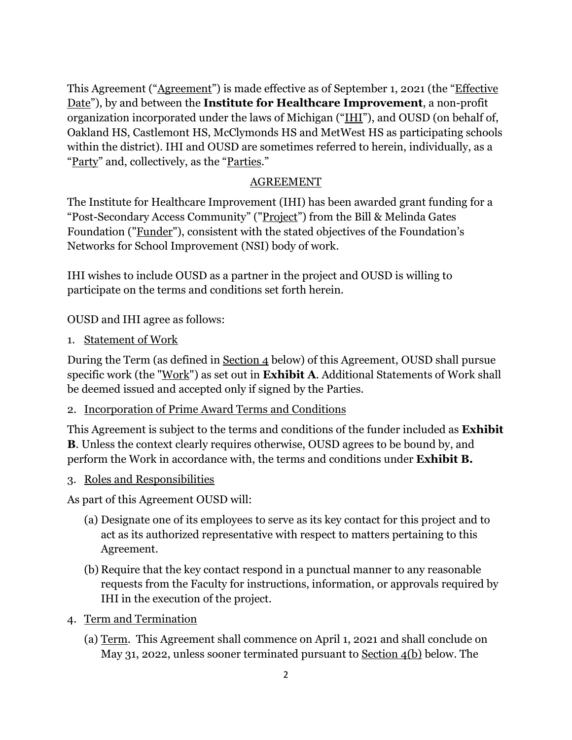This Agreement ("Agreement") is made effective as of September 1, 2021 (the "Effective Date"), by and between the **Institute for Healthcare Improvement**, a non-profit organization incorporated under the laws of Michigan ("IHI"), and OUSD (on behalf of, Oakland HS, Castlemont HS, McClymonds HS and MetWest HS as participating schools within the district). IHI and OUSD are sometimes referred to herein, individually, as a "Party" and, collectively, as the "Parties."

#### AGREEMENT

The Institute for Healthcare Improvement (IHI) has been awarded grant funding for a "Post-Secondary Access Community" ("Project") from the Bill & Melinda Gates Foundation ("Funder"), consistent with the stated objectives of the Foundation's Networks for School Improvement (NSI) body of work.

IHI wishes to include OUSD as a partner in the project and OUSD is willing to participate on the terms and conditions set forth herein.

OUSD and IHI agree as follows:

1. Statement of Work

During the Term (as defined in Section 4 below) of this Agreement, OUSD shall pursue specific work (the "Work") as set out in **Exhibit A**. Additional Statements of Work shall be deemed issued and accepted only if signed by the Parties.

## 2. Incorporation of Prime Award Terms and Conditions

This Agreement is subject to the terms and conditions of the funder included as **Exhibit B**. Unless the context clearly requires otherwise, OUSD agrees to be bound by, and perform the Work in accordance with, the terms and conditions under **Exhibit B.**

3. Roles and Responsibilities

As part of this Agreement OUSD will:

- (a) Designate one of its employees to serve as its key contact for this project and to act as its authorized representative with respect to matters pertaining to this Agreement.
- (b) Require that the key contact respond in a punctual manner to any reasonable requests from the Faculty for instructions, information, or approvals required by IHI in the execution of the project.
- 4. Term and Termination
	- (a) Term. This Agreement shall commence on April 1, 2021 and shall conclude on May 31, 2022, unless sooner terminated pursuant to Section 4(b) below. The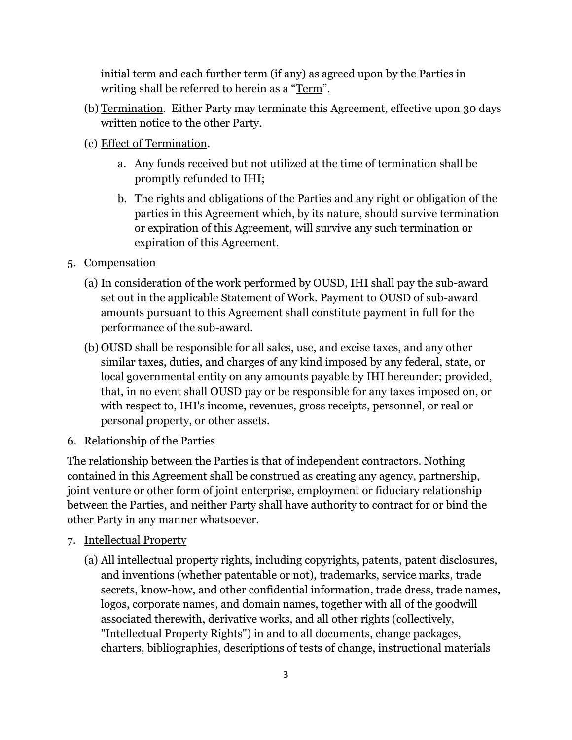initial term and each further term (if any) as agreed upon by the Parties in writing shall be referred to herein as a "Term".

- (b) Termination. Either Party may terminate this Agreement, effective upon 30 days written notice to the other Party.
- (c) Effect of Termination.
	- a. Any funds received but not utilized at the time of termination shall be promptly refunded to IHI;
	- b. The rights and obligations of the Parties and any right or obligation of the parties in this Agreement which, by its nature, should survive termination or expiration of this Agreement, will survive any such termination or expiration of this Agreement.
- 5. Compensation
	- (a) In consideration of the work performed by OUSD, IHI shall pay the sub-award set out in the applicable Statement of Work. Payment to OUSD of sub-award amounts pursuant to this Agreement shall constitute payment in full for the performance of the sub-award.
	- (b) OUSD shall be responsible for all sales, use, and excise taxes, and any other similar taxes, duties, and charges of any kind imposed by any federal, state, or local governmental entity on any amounts payable by IHI hereunder; provided, that, in no event shall OUSD pay or be responsible for any taxes imposed on, or with respect to, IHI's income, revenues, gross receipts, personnel, or real or personal property, or other assets.
- 6. Relationship of the Parties

The relationship between the Parties is that of independent contractors. Nothing contained in this Agreement shall be construed as creating any agency, partnership, joint venture or other form of joint enterprise, employment or fiduciary relationship between the Parties, and neither Party shall have authority to contract for or bind the other Party in any manner whatsoever.

- 7. Intellectual Property
	- (a) All intellectual property rights, including copyrights, patents, patent disclosures, and inventions (whether patentable or not), trademarks, service marks, trade secrets, know-how, and other confidential information, trade dress, trade names, logos, corporate names, and domain names, together with all of the goodwill associated therewith, derivative works, and all other rights (collectively, "Intellectual Property Rights") in and to all documents, change packages, charters, bibliographies, descriptions of tests of change, instructional materials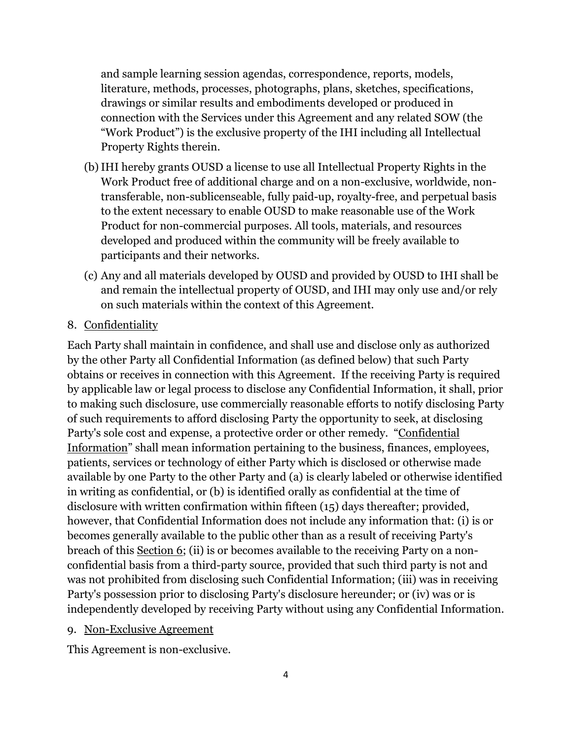and sample learning session agendas, correspondence, reports, models, literature, methods, processes, photographs, plans, sketches, specifications, drawings or similar results and embodiments developed or produced in connection with the Services under this Agreement and any related SOW (the "Work Product") is the exclusive property of the IHI including all Intellectual Property Rights therein.

- (b)IHI hereby grants OUSD a license to use all Intellectual Property Rights in the Work Product free of additional charge and on a non-exclusive, worldwide, nontransferable, non-sublicenseable, fully paid-up, royalty-free, and perpetual basis to the extent necessary to enable OUSD to make reasonable use of the Work Product for non-commercial purposes. All tools, materials, and resources developed and produced within the community will be freely available to participants and their networks.
- (c) Any and all materials developed by OUSD and provided by OUSD to IHI shall be and remain the intellectual property of OUSD, and IHI may only use and/or rely on such materials within the context of this Agreement.
- 8. Confidentiality

Each Party shall maintain in confidence, and shall use and disclose only as authorized by the other Party all Confidential Information (as defined below) that such Party obtains or receives in connection with this Agreement. If the receiving Party is required by applicable law or legal process to disclose any Confidential Information, it shall, prior to making such disclosure, use commercially reasonable efforts to notify disclosing Party of such requirements to afford disclosing Party the opportunity to seek, at disclosing Party's sole cost and expense, a protective order or other remedy. "Confidential Information" shall mean information pertaining to the business, finances, employees, patients, services or technology of either Party which is disclosed or otherwise made available by one Party to the other Party and (a) is clearly labeled or otherwise identified in writing as confidential, or (b) is identified orally as confidential at the time of disclosure with written confirmation within fifteen (15) days thereafter; provided, however, that Confidential Information does not include any information that: (i) is or becomes generally available to the public other than as a result of receiving Party's breach of this Section 6; (ii) is or becomes available to the receiving Party on a nonconfidential basis from a third-party source, provided that such third party is not and was not prohibited from disclosing such Confidential Information; (iii) was in receiving Party's possession prior to disclosing Party's disclosure hereunder; or (iv) was or is independently developed by receiving Party without using any Confidential Information.

9. Non-Exclusive Agreement

This Agreement is non-exclusive.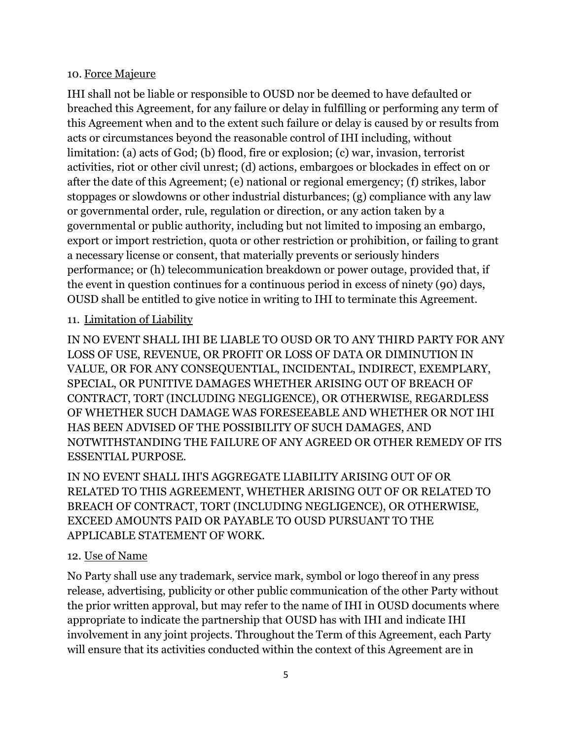#### 10. Force Majeure

IHI shall not be liable or responsible to OUSD nor be deemed to have defaulted or breached this Agreement, for any failure or delay in fulfilling or performing any term of this Agreement when and to the extent such failure or delay is caused by or results from acts or circumstances beyond the reasonable control of IHI including, without limitation: (a) acts of God; (b) flood, fire or explosion; (c) war, invasion, terrorist activities, riot or other civil unrest; (d) actions, embargoes or blockades in effect on or after the date of this Agreement; (e) national or regional emergency; (f) strikes, labor stoppages or slowdowns or other industrial disturbances; (g) compliance with any law or governmental order, rule, regulation or direction, or any action taken by a governmental or public authority, including but not limited to imposing an embargo, export or import restriction, quota or other restriction or prohibition, or failing to grant a necessary license or consent, that materially prevents or seriously hinders performance; or (h) telecommunication breakdown or power outage, provided that, if the event in question continues for a continuous period in excess of ninety (90) days, OUSD shall be entitled to give notice in writing to IHI to terminate this Agreement.

## 11. Limitation of Liability

IN NO EVENT SHALL IHI BE LIABLE TO OUSD OR TO ANY THIRD PARTY FOR ANY LOSS OF USE, REVENUE, OR PROFIT OR LOSS OF DATA OR DIMINUTION IN VALUE, OR FOR ANY CONSEQUENTIAL, INCIDENTAL, INDIRECT, EXEMPLARY, SPECIAL, OR PUNITIVE DAMAGES WHETHER ARISING OUT OF BREACH OF CONTRACT, TORT (INCLUDING NEGLIGENCE), OR OTHERWISE, REGARDLESS OF WHETHER SUCH DAMAGE WAS FORESEEABLE AND WHETHER OR NOT IHI HAS BEEN ADVISED OF THE POSSIBILITY OF SUCH DAMAGES, AND NOTWITHSTANDING THE FAILURE OF ANY AGREED OR OTHER REMEDY OF ITS ESSENTIAL PURPOSE.

IN NO EVENT SHALL IHI'S AGGREGATE LIABILITY ARISING OUT OF OR RELATED TO THIS AGREEMENT, WHETHER ARISING OUT OF OR RELATED TO BREACH OF CONTRACT, TORT (INCLUDING NEGLIGENCE), OR OTHERWISE, EXCEED AMOUNTS PAID OR PAYABLE TO OUSD PURSUANT TO THE APPLICABLE STATEMENT OF WORK.

#### 12. Use of Name

No Party shall use any trademark, service mark, symbol or logo thereof in any press release, advertising, publicity or other public communication of the other Party without the prior written approval, but may refer to the name of IHI in OUSD documents where appropriate to indicate the partnership that OUSD has with IHI and indicate IHI involvement in any joint projects. Throughout the Term of this Agreement, each Party will ensure that its activities conducted within the context of this Agreement are in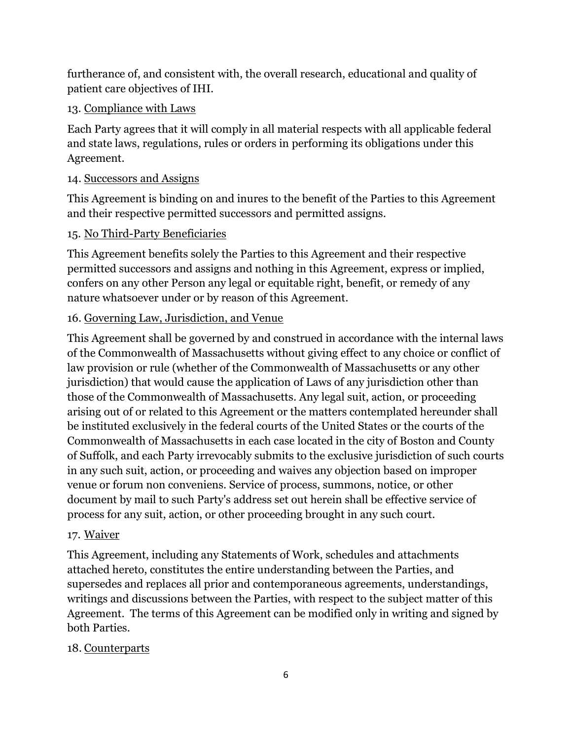furtherance of, and consistent with, the overall research, educational and quality of patient care objectives of IHI.

# 13. Compliance with Laws

Each Party agrees that it will comply in all material respects with all applicable federal and state laws, regulations, rules or orders in performing its obligations under this Agreement.

# 14. Successors and Assigns

This Agreement is binding on and inures to the benefit of the Parties to this Agreement and their respective permitted successors and permitted assigns.

# 15. No Third-Party Beneficiaries

This Agreement benefits solely the Parties to this Agreement and their respective permitted successors and assigns and nothing in this Agreement, express or implied, confers on any other Person any legal or equitable right, benefit, or remedy of any nature whatsoever under or by reason of this Agreement.

# 16. Governing Law, Jurisdiction, and Venue

This Agreement shall be governed by and construed in accordance with the internal laws of the Commonwealth of Massachusetts without giving effect to any choice or conflict of law provision or rule (whether of the Commonwealth of Massachusetts or any other jurisdiction) that would cause the application of Laws of any jurisdiction other than those of the Commonwealth of Massachusetts. Any legal suit, action, or proceeding arising out of or related to this Agreement or the matters contemplated hereunder shall be instituted exclusively in the federal courts of the United States or the courts of the Commonwealth of Massachusetts in each case located in the city of Boston and County of Suffolk, and each Party irrevocably submits to the exclusive jurisdiction of such courts in any such suit, action, or proceeding and waives any objection based on improper venue or forum non conveniens. Service of process, summons, notice, or other document by mail to such Party's address set out herein shall be effective service of process for any suit, action, or other proceeding brought in any such court.

# 17. Waiver

This Agreement, including any Statements of Work, schedules and attachments attached hereto, constitutes the entire understanding between the Parties, and supersedes and replaces all prior and contemporaneous agreements, understandings, writings and discussions between the Parties, with respect to the subject matter of this Agreement. The terms of this Agreement can be modified only in writing and signed by both Parties.

# 18. Counterparts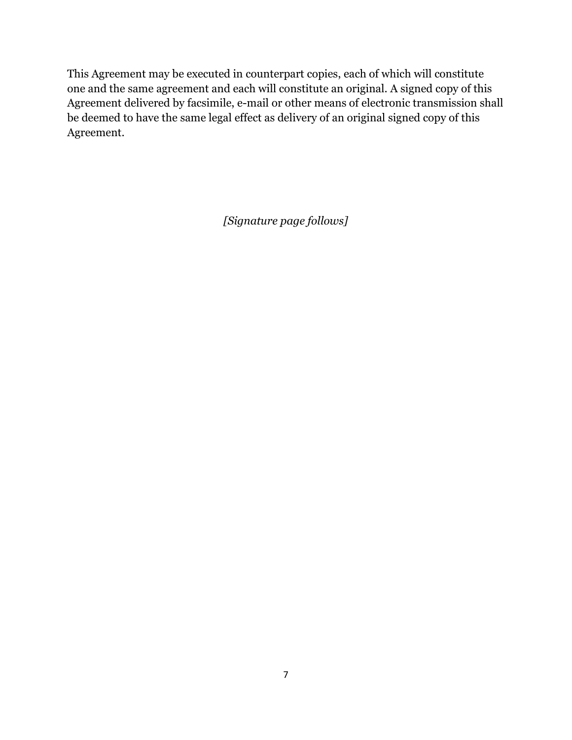This Agreement may be executed in counterpart copies, each of which will constitute one and the same agreement and each will constitute an original. A signed copy of this Agreement delivered by facsimile, e-mail or other means of electronic transmission shall be deemed to have the same legal effect as delivery of an original signed copy of this Agreement.

*[Signature page follows]*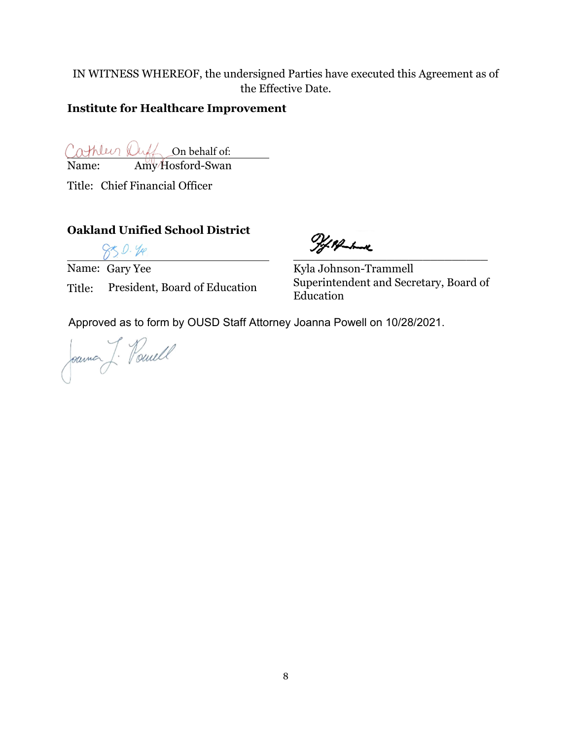IN WITNESS WHEREOF, the undersigned Parties have executed this Agreement as of the Effective Date.

## **Institute for Healthcare Improvement**

On behalf of:

Name: Amy Hosford-Swan

Title: Chief Financial Officer

## **Oakland Unified School District**

Name: Gary Yee Title: President, Board of Education

 $2777$ 

Kyla Johnson-Trammell Superintendent and Secretary, Board of Education

Approved as to form by OUSD Staff Attorney Joanna Powell on 10/28/2021.

Joannes J. Powell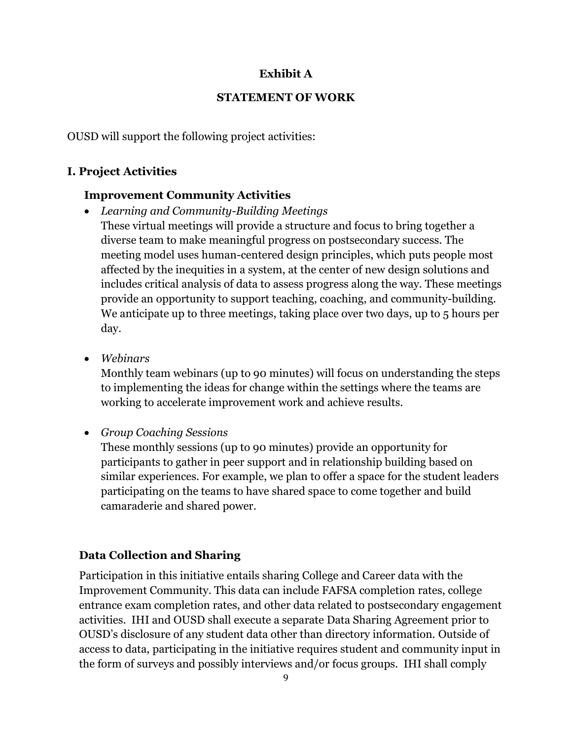## **Exhibit A**

## **STATEMENT OF WORK**

OUSD will support the following project activities:

# **I. Project Activities**

## **Improvement Community Activities**

- *Learning and Community-Building Meetings* These virtual meetings will provide a structure and focus to bring together a diverse team to make meaningful progress on postsecondary success. The meeting model uses human-centered design principles, which puts people most affected by the inequities in a system, at the center of new design solutions and includes critical analysis of data to assess progress along the way. These meetings provide an opportunity to support teaching, coaching, and community-building*.* We anticipate up to three meetings, taking place over two days, up to 5 hours per day.
- *Webinars*

Monthly team webinars (up to 90 minutes) will focus on understanding the steps to implementing the ideas for change within the settings where the teams are working to accelerate improvement work and achieve results.

• *Group Coaching Sessions*

These monthly sessions (up to 90 minutes) provide an opportunity for participants to gather in peer support and in relationship building based on similar experiences. For example, we plan to offer a space for the student leaders participating on the teams to have shared space to come together and build camaraderie and shared power.

# **Data Collection and Sharing**

Participation in this initiative entails sharing College and Career data with the Improvement Community. This data can include FAFSA completion rates, college entrance exam completion rates, and other data related to postsecondary engagement activities. IHI and OUSD shall execute a separate Data Sharing Agreement prior to OUSD's disclosure of any student data other than directory information. Outside of access to data, participating in the initiative requires student and community input in the form of surveys and possibly interviews and/or focus groups. IHI shall comply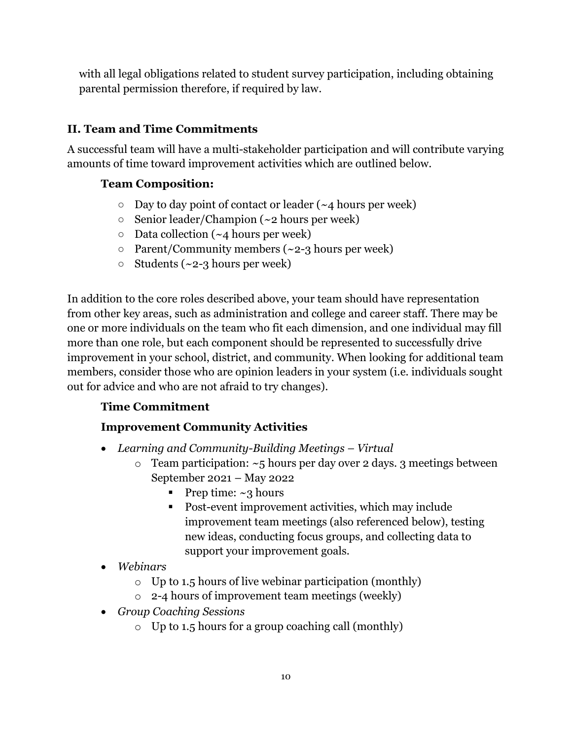with all legal obligations related to student survey participation, including obtaining parental permission therefore, if required by law.

# **II. Team and Time Commitments**

A successful team will have a multi-stakeholder participation and will contribute varying amounts of time toward improvement activities which are outlined below.

# **Team Composition:**

- $\circ$  Day to day point of contact or leader (~4 hours per week)
- $\circ$  Senior leader/Champion (~2 hours per week)
- $\circ$  Data collection (~4 hours per week)
- $\circ$  Parent/Community members (~2-3 hours per week)
- $\circ$  Students (~2-3 hours per week)

In addition to the core roles described above, your team should have representation from other key areas, such as administration and college and career staff. There may be one or more individuals on the team who fit each dimension, and one individual may fill more than one role, but each component should be represented to successfully drive improvement in your school, district, and community. When looking for additional team members, consider those who are opinion leaders in your system (i.e. individuals sought out for advice and who are not afraid to try changes).

# **Time Commitment**

# **Improvement Community Activities**

- *Learning and Community-Building Meetings – Virtual*
	- $\circ$  Team participation:  $\sim$ 5 hours per day over 2 days. 3 meetings between September 2021 – May 2022
		- **•** Prep time:  $\sim$ 3 hours
		- Post-event improvement activities, which may include improvement team meetings (also referenced below), testing new ideas, conducting focus groups, and collecting data to support your improvement goals.
- *Webinars*
	- $\circ$  Up to 1.5 hours of live webinar participation (monthly)
	- o 2-4 hours of improvement team meetings (weekly)
- *Group Coaching Sessions*
	- o Up to 1.5 hours for a group coaching call (monthly)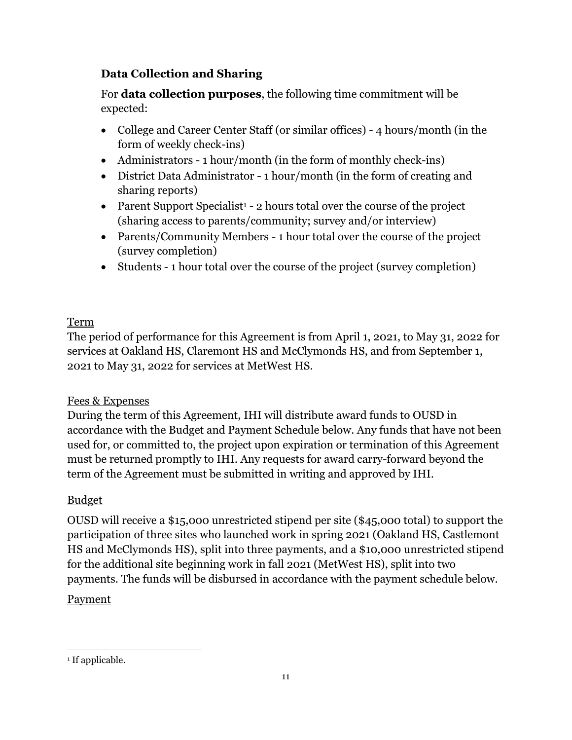# **Data Collection and Sharing**

For **data collection purposes**, the following time commitment will be expected:

- College and Career Center Staff (or similar offices) 4 hours/month (in the form of weekly check-ins)
- Administrators 1 hour/month (in the form of monthly check-ins)
- District Data Administrator 1 hour/month (in the form of creating and sharing reports)
- Parent Support Specialist<sup>1</sup> 2 hours total over the course of the project (sharing access to parents/community; survey and/or interview)
- Parents/Community Members 1 hour total over the course of the project (survey completion)
- Students 1 hour total over the course of the project (survey completion)

# Term

The period of performance for this Agreement is from April 1, 2021, to May 31, 2022 for services at Oakland HS, Claremont HS and McClymonds HS, and from September 1, 2021 to May 31, 2022 for services at MetWest HS.

# Fees & Expenses

During the term of this Agreement, IHI will distribute award funds to OUSD in accordance with the Budget and Payment Schedule below. Any funds that have not been used for, or committed to, the project upon expiration or termination of this Agreement must be returned promptly to IHI. Any requests for award carry-forward beyond the term of the Agreement must be submitted in writing and approved by IHI.

# Budget

OUSD will receive a \$15,000 unrestricted stipend per site (\$45,000 total) to support the participation of three sites who launched work in spring 2021 (Oakland HS, Castlemont HS and McClymonds HS), split into three payments, and a \$10,000 unrestricted stipend for the additional site beginning work in fall 2021 (MetWest HS), split into two payments. The funds will be disbursed in accordance with the payment schedule below.

# Payment

<sup>&</sup>lt;sup>1</sup> If applicable.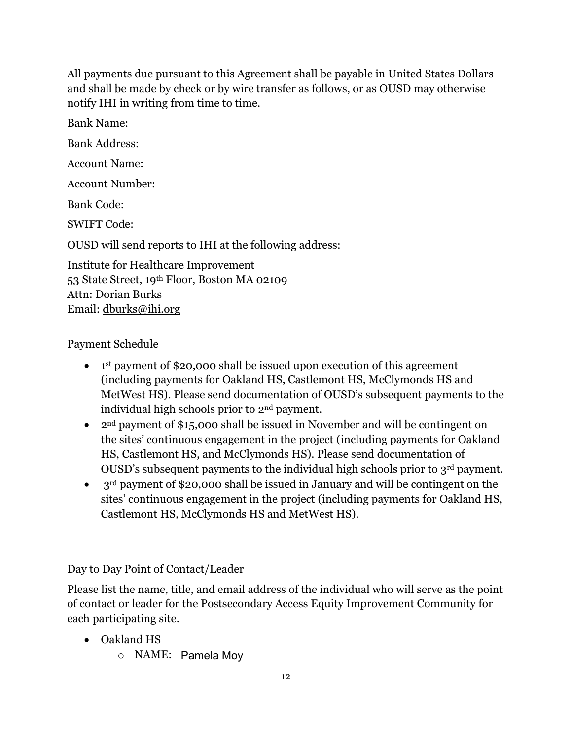All payments due pursuant to this Agreement shall be payable in United States Dollars and shall be made by check or by wire transfer as follows, or as OUSD may otherwise notify IHI in writing from time to time.

Bank Name: Bank Address: Account Name: Account Number: Bank Code: SWIFT Code: OUSD will send reports to IHI at the following address: Institute for Healthcare Improvement 53 State Street, 19th Floor, Boston MA 02109 Attn: Dorian Burks

#### Payment Schedule

Email: [dburks@ihi.org](mailto:dburks@ihi.org)

- 1<sup>st</sup> payment of \$20,000 shall be issued upon execution of this agreement (including payments for Oakland HS, Castlemont HS, McClymonds HS and MetWest HS). Please send documentation of OUSD's subsequent payments to the individual high schools prior to 2nd payment.
- 2<sup>nd</sup> payment of \$15,000 shall be issued in November and will be contingent on the sites' continuous engagement in the project (including payments for Oakland HS, Castlemont HS, and McClymonds HS). Please send documentation of OUSD's subsequent payments to the individual high schools prior to 3rd payment.
- 3<sup>rd</sup> payment of \$20,000 shall be issued in January and will be contingent on the sites' continuous engagement in the project (including payments for Oakland HS, Castlemont HS, McClymonds HS and MetWest HS).

## Day to Day Point of Contact/Leader

Please list the name, title, and email address of the individual who will serve as the point of contact or leader for the Postsecondary Access Equity Improvement Community for each participating site.

- Oakland HS
	- o NAME: Pamela Moy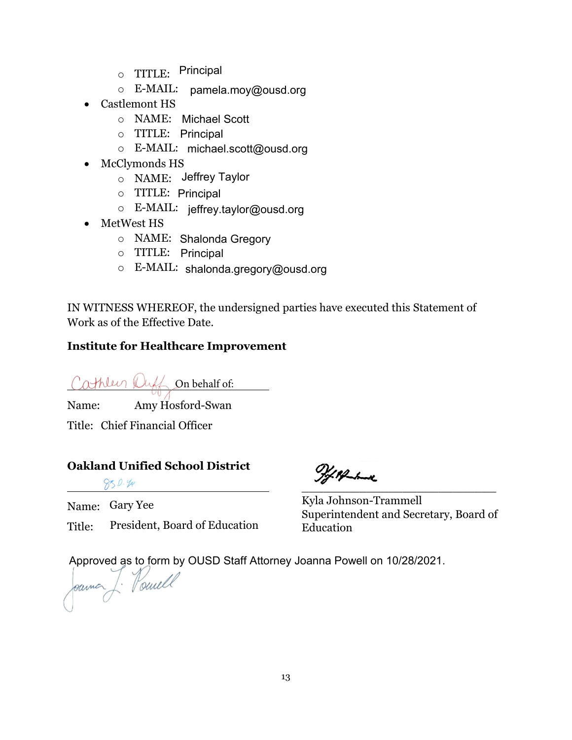- $\circ$  TITLE: Principal
- o E-MAIL: pamela.moy@ousd.org
- Castlemont HS
	- o NAME: Michael Scott
	- o TITLE: Principal
	- o E-MAIL: michael.scott@ousd.org
- McClymonds HS
	- o NAME: Jeffrey Taylor
	- o TITLE: Principal
	- o E-MAIL: jeffrey.taylor@ousd.org
- MetWest HS
	- o NAME: Shalonda Gregory
	- o TITLE: Principal
	- o E-MAIL: shalonda.gregory@ousd.org

IN WITNESS WHEREOF, the undersigned parties have executed this Statement of Work as of the Effective Date.

## **Institute for Healthcare Improvement**

Cathleen Duff on behalf of:

Name: Amy Hosford-Swan

Title: Chief Financial Officer

#### **Oakland Unified School District**

 $850.49$ 

Name: Gary Yee

Title: President, Board of Education

\_\_\_\_\_\_\_\_\_\_\_\_\_\_\_\_\_\_\_\_\_\_\_\_\_\_\_

Kyla Johnson-Trammell Superintendent and Secretary, Board of Education

Approved as to form by OUSD Staff Attorney Joanna Powell on 10/28/2021.<br>Jeanne J. Houwell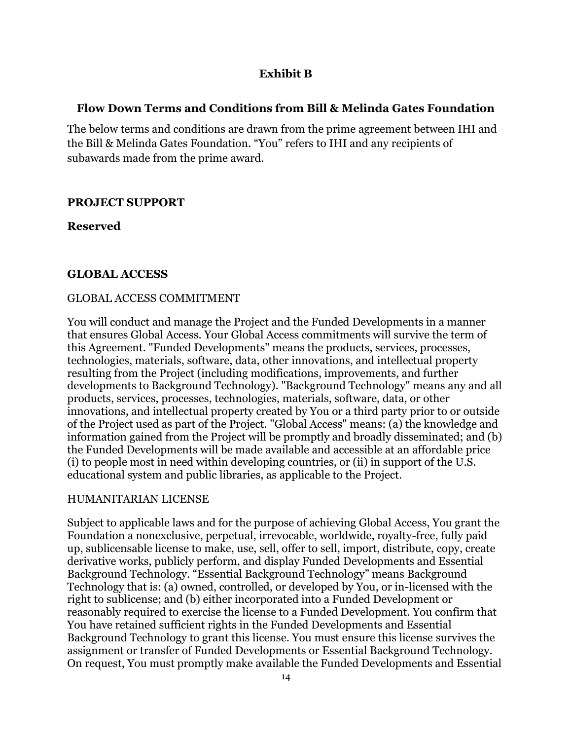## **Exhibit B**

## **Flow Down Terms and Conditions from Bill & Melinda Gates Foundation**

The below terms and conditions are drawn from the prime agreement between IHI and the Bill & Melinda Gates Foundation. "You" refers to IHI and any recipients of subawards made from the prime award.

## **PROJECT SUPPORT**

**Reserved**

## **GLOBAL ACCESS**

#### GLOBAL ACCESS COMMITMENT

You will conduct and manage the Project and the Funded Developments in a manner that ensures Global Access. Your Global Access commitments will survive the term of this Agreement. "Funded Developments" means the products, services, processes, technologies, materials, software, data, other innovations, and intellectual property resulting from the Project (including modifications, improvements, and further developments to Background Technology). "Background Technology" means any and all products, services, processes, technologies, materials, software, data, or other innovations, and intellectual property created by You or a third party prior to or outside of the Project used as part of the Project. "Global Access" means: (a) the knowledge and information gained from the Project will be promptly and broadly disseminated; and (b) the Funded Developments will be made available and accessible at an affordable price (i) to people most in need within developing countries, or (ii) in support of the U.S. educational system and public libraries, as applicable to the Project.

#### HUMANITARIAN LICENSE

Subject to applicable laws and for the purpose of achieving Global Access, You grant the Foundation a nonexclusive, perpetual, irrevocable, worldwide, royalty-free, fully paid up, sublicensable license to make, use, sell, offer to sell, import, distribute, copy, create derivative works, publicly perform, and display Funded Developments and Essential Background Technology. "Essential Background Technology" means Background Technology that is: (a) owned, controlled, or developed by You, or in-licensed with the right to sublicense; and (b) either incorporated into a Funded Development or reasonably required to exercise the license to a Funded Development. You confirm that You have retained sufficient rights in the Funded Developments and Essential Background Technology to grant this license. You must ensure this license survives the assignment or transfer of Funded Developments or Essential Background Technology. On request, You must promptly make available the Funded Developments and Essential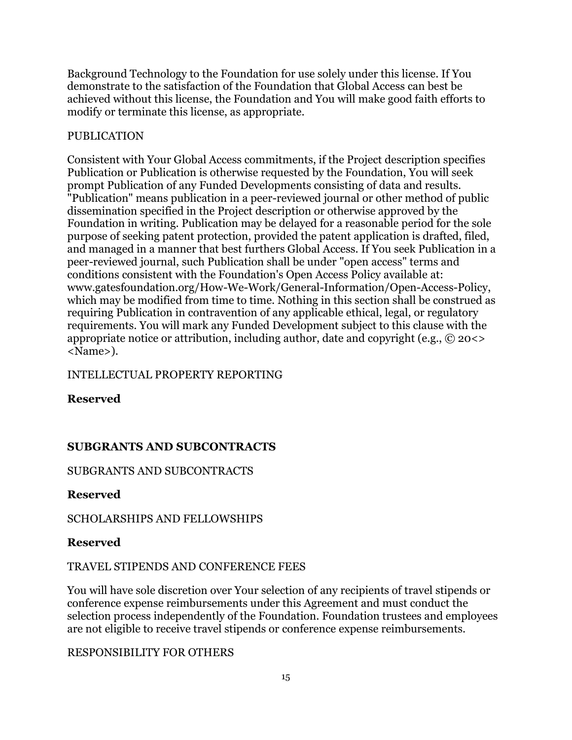Background Technology to the Foundation for use solely under this license. If You demonstrate to the satisfaction of the Foundation that Global Access can best be achieved without this license, the Foundation and You will make good faith efforts to modify or terminate this license, as appropriate.

#### PUBLICATION

Consistent with Your Global Access commitments, if the Project description specifies Publication or Publication is otherwise requested by the Foundation, You will seek prompt Publication of any Funded Developments consisting of data and results. "Publication" means publication in a peer-reviewed journal or other method of public dissemination specified in the Project description or otherwise approved by the Foundation in writing. Publication may be delayed for a reasonable period for the sole purpose of seeking patent protection, provided the patent application is drafted, filed, and managed in a manner that best furthers Global Access. If You seek Publication in a peer-reviewed journal, such Publication shall be under "open access" terms and conditions consistent with the Foundation's Open Access Policy available at: www.gatesfoundation.org/How-We-Work/General-Information/Open-Access-Policy, which may be modified from time to time. Nothing in this section shall be construed as requiring Publication in contravention of any applicable ethical, legal, or regulatory requirements. You will mark any Funded Development subject to this clause with the appropriate notice or attribution, including author, date and copyright (e.g., © 20<> <Name>).

## INTELLECTUAL PROPERTY REPORTING

**Reserved**

# **SUBGRANTS AND SUBCONTRACTS**

#### SUBGRANTS AND SUBCONTRACTS

#### **Reserved**

#### SCHOLARSHIPS AND FELLOWSHIPS

#### **Reserved**

#### TRAVEL STIPENDS AND CONFERENCE FEES

You will have sole discretion over Your selection of any recipients of travel stipends or conference expense reimbursements under this Agreement and must conduct the selection process independently of the Foundation. Foundation trustees and employees are not eligible to receive travel stipends or conference expense reimbursements.

#### RESPONSIBILITY FOR OTHERS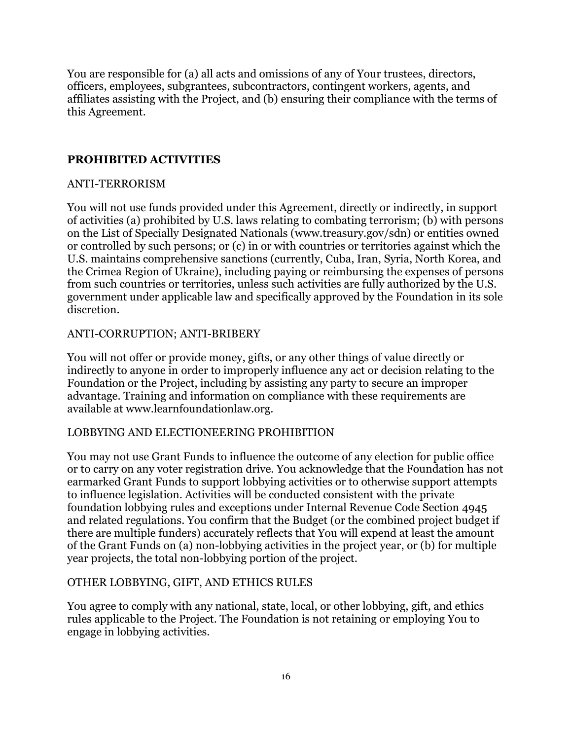You are responsible for (a) all acts and omissions of any of Your trustees, directors, officers, employees, subgrantees, subcontractors, contingent workers, agents, and affiliates assisting with the Project, and (b) ensuring their compliance with the terms of this Agreement.

#### **PROHIBITED ACTIVITIES**

#### ANTI-TERRORISM

You will not use funds provided under this Agreement, directly or indirectly, in support of activities (a) prohibited by U.S. laws relating to combating terrorism; (b) with persons on the List of Specially Designated Nationals (www.treasury.gov/sdn) or entities owned or controlled by such persons; or (c) in or with countries or territories against which the U.S. maintains comprehensive sanctions (currently, Cuba, Iran, Syria, North Korea, and the Crimea Region of Ukraine), including paying or reimbursing the expenses of persons from such countries or territories, unless such activities are fully authorized by the U.S. government under applicable law and specifically approved by the Foundation in its sole discretion.

#### ANTI-CORRUPTION; ANTI-BRIBERY

You will not offer or provide money, gifts, or any other things of value directly or indirectly to anyone in order to improperly influence any act or decision relating to the Foundation or the Project, including by assisting any party to secure an improper advantage. Training and information on compliance with these requirements are available at www.learnfoundationlaw.org.

#### LOBBYING AND ELECTIONEERING PROHIBITION

You may not use Grant Funds to influence the outcome of any election for public office or to carry on any voter registration drive. You acknowledge that the Foundation has not earmarked Grant Funds to support lobbying activities or to otherwise support attempts to influence legislation. Activities will be conducted consistent with the private foundation lobbying rules and exceptions under Internal Revenue Code Section 4945 and related regulations. You confirm that the Budget (or the combined project budget if there are multiple funders) accurately reflects that You will expend at least the amount of the Grant Funds on (a) non-lobbying activities in the project year, or (b) for multiple year projects, the total non-lobbying portion of the project.

#### OTHER LOBBYING, GIFT, AND ETHICS RULES

You agree to comply with any national, state, local, or other lobbying, gift, and ethics rules applicable to the Project. The Foundation is not retaining or employing You to engage in lobbying activities.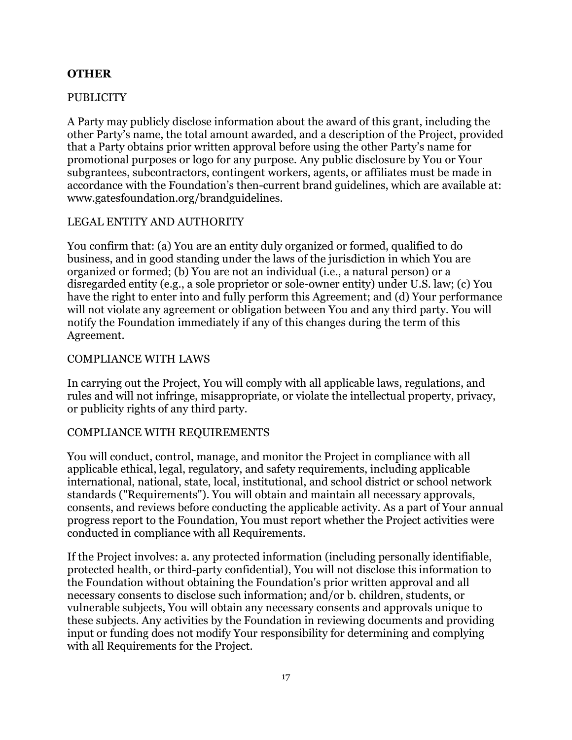#### **OTHER**

#### **PUBLICITY**

A Party may publicly disclose information about the award of this grant, including the other Party's name, the total amount awarded, and a description of the Project, provided that a Party obtains prior written approval before using the other Party's name for promotional purposes or logo for any purpose. Any public disclosure by You or Your subgrantees, subcontractors, contingent workers, agents, or affiliates must be made in accordance with the Foundation's then-current brand guidelines, which are available at: www.gatesfoundation.org/brandguidelines.

#### LEGAL ENTITY AND AUTHORITY

You confirm that: (a) You are an entity duly organized or formed, qualified to do business, and in good standing under the laws of the jurisdiction in which You are organized or formed; (b) You are not an individual (i.e., a natural person) or a disregarded entity (e.g., a sole proprietor or sole-owner entity) under U.S. law; (c) You have the right to enter into and fully perform this Agreement; and (d) Your performance will not violate any agreement or obligation between You and any third party. You will notify the Foundation immediately if any of this changes during the term of this Agreement.

#### COMPLIANCE WITH LAWS

In carrying out the Project, You will comply with all applicable laws, regulations, and rules and will not infringe, misappropriate, or violate the intellectual property, privacy, or publicity rights of any third party.

#### COMPLIANCE WITH REQUIREMENTS

You will conduct, control, manage, and monitor the Project in compliance with all applicable ethical, legal, regulatory, and safety requirements, including applicable international, national, state, local, institutional, and school district or school network standards ("Requirements"). You will obtain and maintain all necessary approvals, consents, and reviews before conducting the applicable activity. As a part of Your annual progress report to the Foundation, You must report whether the Project activities were conducted in compliance with all Requirements.

If the Project involves: a. any protected information (including personally identifiable, protected health, or third-party confidential), You will not disclose this information to the Foundation without obtaining the Foundation's prior written approval and all necessary consents to disclose such information; and/or b. children, students, or vulnerable subjects, You will obtain any necessary consents and approvals unique to these subjects. Any activities by the Foundation in reviewing documents and providing input or funding does not modify Your responsibility for determining and complying with all Requirements for the Project.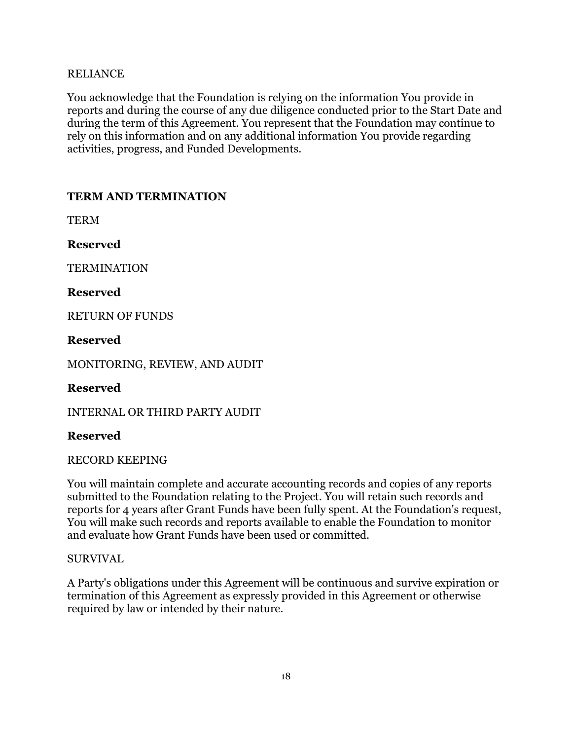#### RELIANCE

You acknowledge that the Foundation is relying on the information You provide in reports and during the course of any due diligence conducted prior to the Start Date and during the term of this Agreement. You represent that the Foundation may continue to rely on this information and on any additional information You provide regarding activities, progress, and Funded Developments.

## **TERM AND TERMINATION**

**TERM** 

**Reserved**

**TERMINATION** 

**Reserved**

RETURN OF FUNDS

**Reserved**

MONITORING, REVIEW, AND AUDIT

**Reserved**

INTERNAL OR THIRD PARTY AUDIT

#### **Reserved**

RECORD KEEPING

You will maintain complete and accurate accounting records and copies of any reports submitted to the Foundation relating to the Project. You will retain such records and reports for 4 years after Grant Funds have been fully spent. At the Foundation's request, You will make such records and reports available to enable the Foundation to monitor and evaluate how Grant Funds have been used or committed.

#### SURVIVAL

A Party's obligations under this Agreement will be continuous and survive expiration or termination of this Agreement as expressly provided in this Agreement or otherwise required by law or intended by their nature.